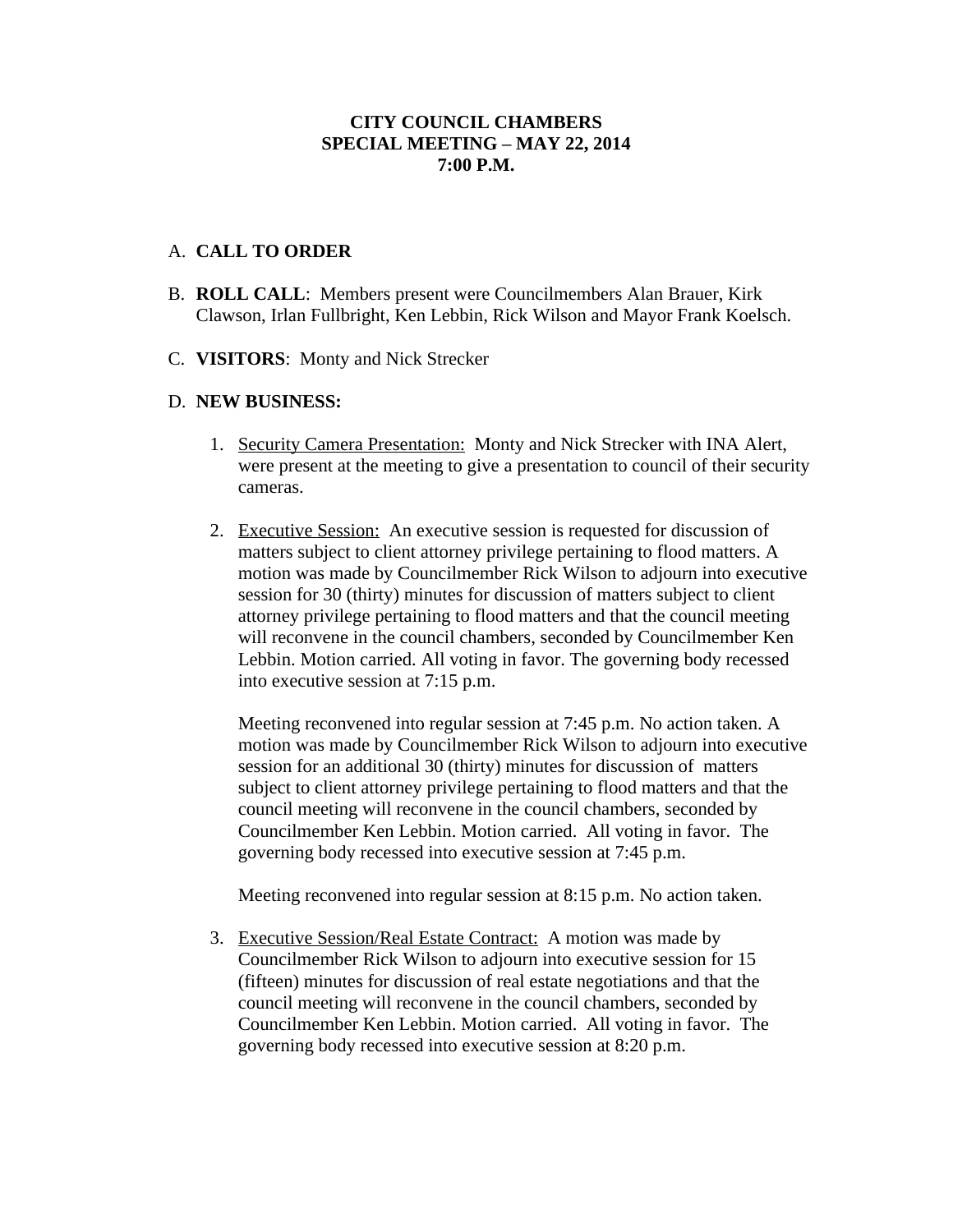## **CITY COUNCIL CHAMBERS SPECIAL MEETING – MAY 22, 2014 7:00 P.M.**

## A. **CALL TO ORDER**

- B. **ROLL CALL**: Members present were Councilmembers Alan Brauer, Kirk Clawson, Irlan Fullbright, Ken Lebbin, Rick Wilson and Mayor Frank Koelsch.
- C. **VISITORS**: Monty and Nick Strecker

## D. **NEW BUSINESS:**

- 1. Security Camera Presentation: Monty and Nick Strecker with INA Alert, were present at the meeting to give a presentation to council of their security cameras.
- 2. Executive Session: An executive session is requested for discussion of matters subject to client attorney privilege pertaining to flood matters. A motion was made by Councilmember Rick Wilson to adjourn into executive session for 30 (thirty) minutes for discussion of matters subject to client attorney privilege pertaining to flood matters and that the council meeting will reconvene in the council chambers, seconded by Councilmember Ken Lebbin. Motion carried. All voting in favor. The governing body recessed into executive session at 7:15 p.m.

Meeting reconvened into regular session at 7:45 p.m. No action taken. A motion was made by Councilmember Rick Wilson to adjourn into executive session for an additional 30 (thirty) minutes for discussion of matters subject to client attorney privilege pertaining to flood matters and that the council meeting will reconvene in the council chambers, seconded by Councilmember Ken Lebbin. Motion carried. All voting in favor. The governing body recessed into executive session at 7:45 p.m.

Meeting reconvened into regular session at 8:15 p.m. No action taken.

3. Executive Session/Real Estate Contract: A motion was made by Councilmember Rick Wilson to adjourn into executive session for 15 (fifteen) minutes for discussion of real estate negotiations and that the council meeting will reconvene in the council chambers, seconded by Councilmember Ken Lebbin. Motion carried. All voting in favor. The governing body recessed into executive session at 8:20 p.m.